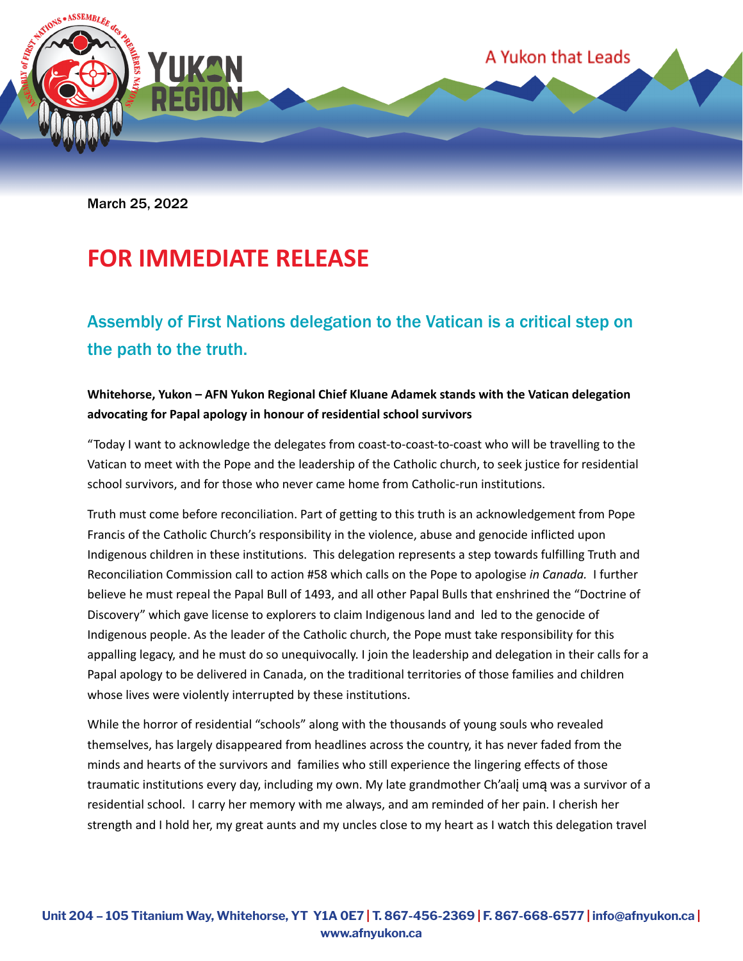

March 25, 2022

## **FOR IMMEDIATE RELEASE**

### Assembly of First Nations delegation to the Vatican is a critical step on the path to the truth.

### **Whitehorse, Yukon – AFN Yukon Regional Chief Kluane Adamek stands with the Vatican delegation advocating for Papal apology in honour of residential school survivors**

"Today I want to acknowledge the delegates from coast-to-coast-to-coast who will be travelling to the Vatican to meet with the Pope and the leadership of the Catholic church, to seek justice for residential school survivors, and for those who never came home from Catholic-run institutions.

Truth must come before reconciliation. Part of getting to this truth is an acknowledgement from Pope Francis of the Catholic Church's responsibility in the violence, abuse and genocide inflicted upon Indigenous children in these institutions. This delegation represents a step towards fulfilling Truth and Reconciliation Commission call to action #58 which calls on the Pope to apologise *in Canada.* I further believe he must repeal the Papal Bull of 1493, and all other Papal Bulls that enshrined the "Doctrine of Discovery" which gave license to explorers to claim Indigenous land and led to the genocide of Indigenous people. As the leader of the Catholic church, the Pope must take responsibility for this appalling legacy, and he must do so unequivocally. I join the leadership and delegation in their calls for a Papal apology to be delivered in Canada, on the traditional territories of those families and children whose lives were violently interrupted by these institutions.

While the horror of residential "schools" along with the thousands of young souls who revealed themselves, has largely disappeared from headlines across the country, it has never faded from the minds and hearts of the survivors and families who still experience the lingering effects of those traumatic institutions every day, including my own. My late grandmother Ch'aalį umą was a survivor of a residential school. I carry her memory with me always, and am reminded of her pain. I cherish her strength and I hold her, my great aunts and my uncles close to my heart as I watch this delegation travel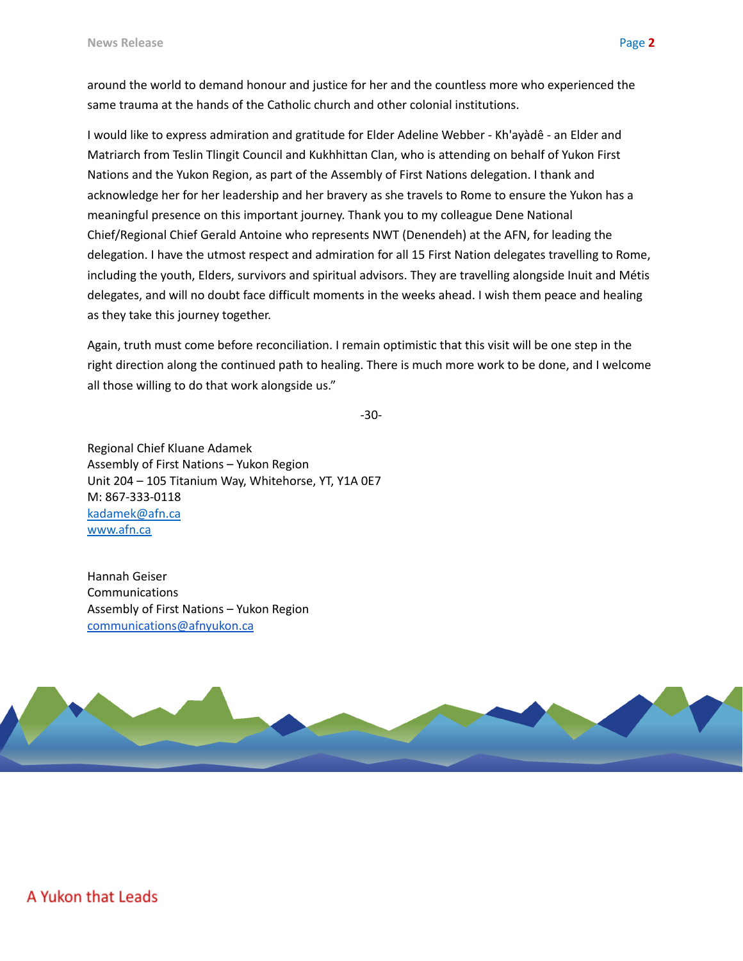around the world to demand honour and justice for her and the countless more who experienced the same trauma at the hands of the Catholic church and other colonial institutions.

I would like to express admiration and gratitude for Elder Adeline Webber - Kh'ayàdê - an Elder and Matriarch from Teslin Tlingit Council and Kukhhittan Clan, who is attending on behalf of Yukon First Nations and the Yukon Region, as part of the Assembly of First Nations delegation. I thank and acknowledge her for her leadership and her bravery as she travels to Rome to ensure the Yukon has a meaningful presence on this important journey. Thank you to my colleague Dene National Chief/Regional Chief Gerald Antoine who represents NWT (Denendeh) at the AFN, for leading the delegation. I have the utmost respect and admiration for all 15 First Nation delegates travelling to Rome, including the youth, Elders, survivors and spiritual advisors. They are travelling alongside Inuit and Métis delegates, and will no doubt face difficult moments in the weeks ahead. I wish them peace and healing as they take this journey together.

Again, truth must come before reconciliation. I remain optimistic that this visit will be one step in the right direction along the continued path to healing. There is much more work to be done, and I welcome all those willing to do that work alongside us."

```
-30-
```
Regional Chief Kluane Adamek Assembly of First Nations – Yukon Region Unit 204 – 105 Titanium Way, Whitehorse, YT, Y1A 0E7 M: 867-333-0118 [kadamek@afn.ca](mailto:kadamek@afn.ca) [www.afn.ca](http://www.afn.ca)

Hannah Geiser **Communications** Assembly of First Nations – Yukon Region [communications@afnyukon.ca](mailto:communications@afnyukon.ca)